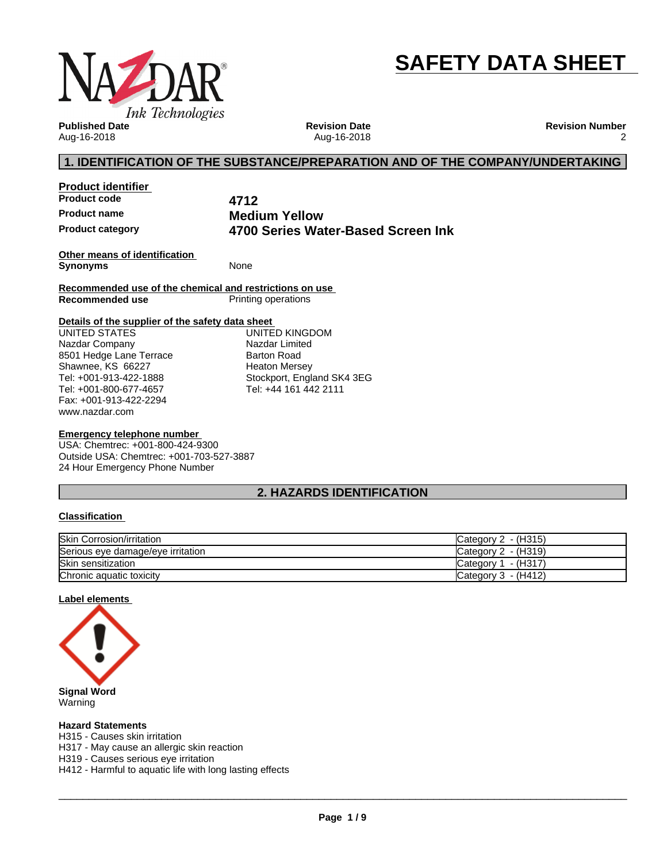

# **SAFETY DATA SHEET**

**Published Date** Aug-16-2018

**Revision Date** Aug-16-2018 **Revision Number** 2

### **1. IDENTIFICATION OF THE SUBSTANCE/PREPARATION AND OF THE COMPANY/UNDERTAKING**

**Product identifier Product code 4712**

**Product name Medium Yellow Product category 4700 Series Water-Based Screen Ink**

**Other means of identification Synonyms** None

**Recommended use of the chemical and restrictions on use Printing operations** 

#### **Details of the supplier of the safety data sheet**

www.nazdar.com UNITED STATES Nazdar Company 8501 Hedge Lane Terrace Shawnee, KS 66227 Tel: +001-913-422-1888 Tel: +001-800-677-4657 Fax: +001-913-422-2294

UNITED KINGDOM Nazdar Limited Barton Road Heaton Mersey Stockport, England SK4 3EG Tel: +44 161 442 2111

#### **Emergency telephone number**

USA: Chemtrec: +001-800-424-9300 Outside USA: Chemtrec: +001-703-527-3887 24 Hour Emergency Phone Number

### **2. HAZARDS IDENTIFICATION**

#### **Classification**

| <b>Skin Corrosion/irritation</b>  | Category $2 - (H315)$  |
|-----------------------------------|------------------------|
| Serious eye damage/eye irritation | Category 2 - (H319)    |
| Skin sensitization                | - (H317)<br>Category 1 |
| Chronic aquatic toxicity          | Category 3 - (H412)    |

#### **Label elements**



Warning

#### **Hazard Statements**

H315 - Causes skin irritation

H317 - May cause an allergic skin reaction

H319 - Causes serious eye irritation

H412 - Harmful to aquatic life with long lasting effects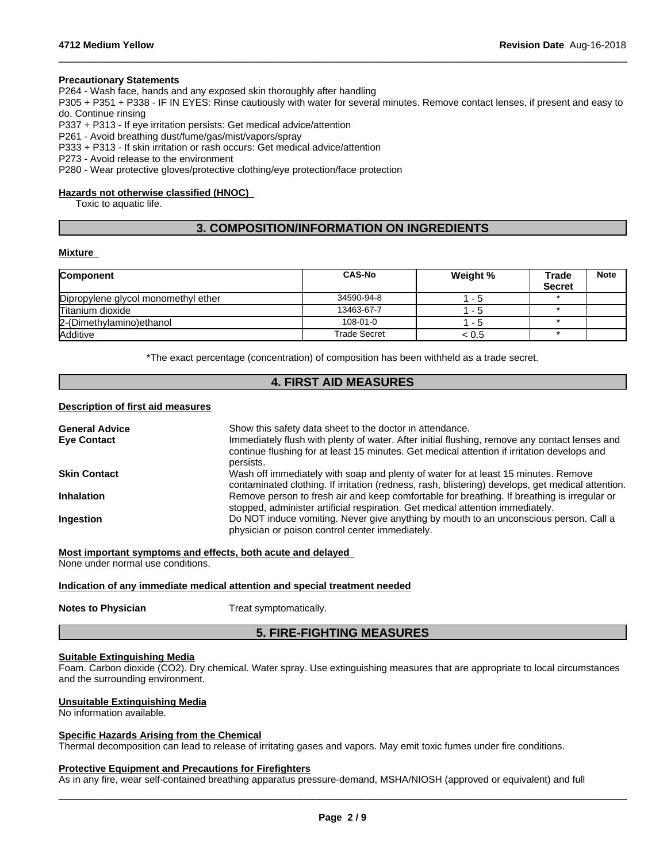#### **Precautionary Statements**

P264 - Wash face, hands and any exposed skin thoroughly after handling

P305 + P351 + P338 - IF IN EYES: Rinse cautiously with water forseveral minutes. Remove contact lenses, if present and easy to do. Continue rinsing

 $\_$  ,  $\_$  ,  $\_$  ,  $\_$  ,  $\_$  ,  $\_$  ,  $\_$  ,  $\_$  ,  $\_$  ,  $\_$  ,  $\_$  ,  $\_$  ,  $\_$  ,  $\_$  ,  $\_$  ,  $\_$  ,  $\_$  ,  $\_$  ,  $\_$  ,  $\_$  ,  $\_$  ,  $\_$  ,  $\_$  ,  $\_$  ,  $\_$  ,  $\_$  ,  $\_$  ,  $\_$  ,  $\_$  ,  $\_$  ,  $\_$  ,  $\_$  ,  $\_$  ,  $\_$  ,  $\_$  ,  $\_$  ,  $\_$  ,

P337 + P313 - If eye irritation persists: Get medical advice/attention

P261 - Avoid breathing dust/fume/gas/mist/vapors/spray

P333 + P313 - If skin irritation or rash occurs: Get medical advice/attention

P273 - Avoid release to the environment

P280 - Wear protective gloves/protective clothing/eye protection/face protection

#### **Hazards not otherwise classified (HNOC)**

Toxic to aquatic life.

### **3. COMPOSITION/INFORMATION ON INGREDIENTS**

#### **Mixture**

| <b>Component</b>                    | <b>CAS-No</b>  | Weight % | Trade<br><b>Secret</b> | <b>Note</b> |
|-------------------------------------|----------------|----------|------------------------|-------------|
| Dipropylene glycol monomethyl ether | 34590-94-8     | - 5      |                        |             |
| Titanium dioxide                    | 13463-67-7     | - 5      |                        |             |
| 2-(Dimethylamino) ethanol           | $108 - 01 - 0$ | - 5      |                        |             |
| <b>Additive</b>                     | Trade Secret   | < 0.5    |                        |             |

\*The exact percentage (concentration) of composition has been withheld as a trade secret.

### **4. FIRST AID MEASURES**

#### **Description of first aid measures**

| <b>General Advice</b> | Show this safety data sheet to the doctor in attendance.                                                                                                                                                  |
|-----------------------|-----------------------------------------------------------------------------------------------------------------------------------------------------------------------------------------------------------|
| <b>Eye Contact</b>    | Immediately flush with plenty of water. After initial flushing, remove any contact lenses and<br>continue flushing for at least 15 minutes. Get medical attention if irritation develops and<br>persists. |
| <b>Skin Contact</b>   | Wash off immediately with soap and plenty of water for at least 15 minutes. Remove<br>contaminated clothing. If irritation (redness, rash, blistering) develops, get medical attention.                   |
| <b>Inhalation</b>     | Remove person to fresh air and keep comfortable for breathing. If breathing is irregular or<br>stopped, administer artificial respiration. Get medical attention immediately.                             |
| <b>Ingestion</b>      | Do NOT induce vomiting. Never give anything by mouth to an unconscious person. Call a<br>physician or poison control center immediately.                                                                  |

**Most important symptoms and effects, both acute and delayed**

None under normal use conditions.

#### **Indication of any immediate medical attention and special treatment needed**

**Notes to Physician** Treat symptomatically.

### **5. FIRE-FIGHTING MEASURES**

#### **Suitable Extinguishing Media**

Foam. Carbon dioxide (CO2). Dry chemical. Water spray. Use extinguishing measures that are appropriate to local circumstances and the surrounding environment.

#### **Unsuitable Extinguishing Media**

No information available.

#### **Specific Hazards Arising from the Chemical**

Thermal decomposition can lead to release of irritating gases and vapors. May emit toxic fumes under fire conditions.

#### **Protective Equipment and Precautions for Firefighters**

As in any fire, wear self-contained breathing apparatus pressure-demand, MSHA/NIOSH (approved or equivalent) and full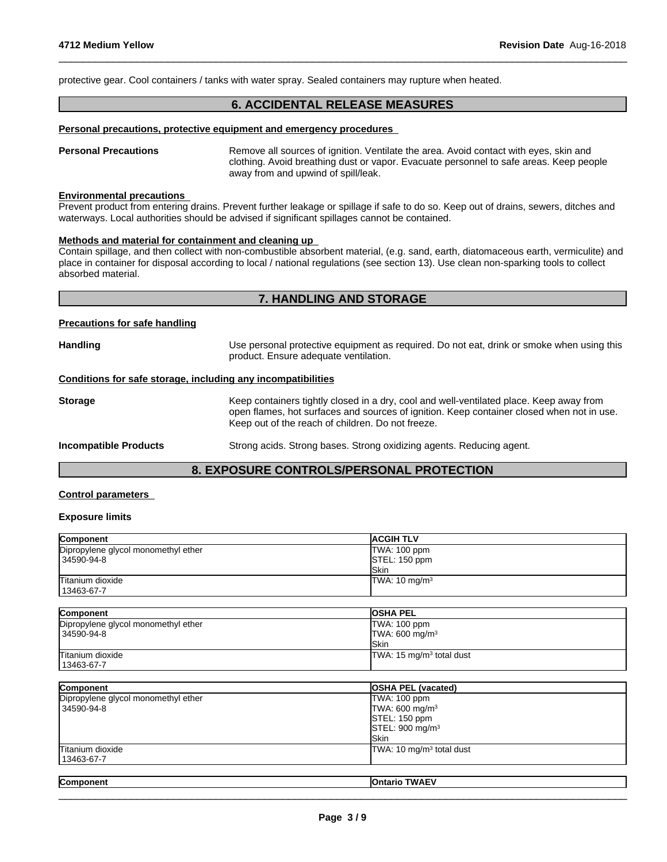protective gear. Cool containers / tanks with water spray. Sealed containers may rupture when heated.

### **6. ACCIDENTAL RELEASE MEASURES**

 $\_$  ,  $\_$  ,  $\_$  ,  $\_$  ,  $\_$  ,  $\_$  ,  $\_$  ,  $\_$  ,  $\_$  ,  $\_$  ,  $\_$  ,  $\_$  ,  $\_$  ,  $\_$  ,  $\_$  ,  $\_$  ,  $\_$  ,  $\_$  ,  $\_$  ,  $\_$  ,  $\_$  ,  $\_$  ,  $\_$  ,  $\_$  ,  $\_$  ,  $\_$  ,  $\_$  ,  $\_$  ,  $\_$  ,  $\_$  ,  $\_$  ,  $\_$  ,  $\_$  ,  $\_$  ,  $\_$  ,  $\_$  ,  $\_$  ,

#### **Personal precautions, protective equipment and emergency procedures**

**Personal Precautions** Remove all sources of ignition. Ventilate the area. Avoid contact with eyes, skin and clothing. Avoid breathing dust or vapor. Evacuate personnel to safe areas. Keep people away from and upwind of spill/leak.

#### **Environmental precautions**

Prevent product from entering drains. Prevent further leakage or spillage if safe to do so. Keep out of drains, sewers, ditches and waterways. Local authorities should be advised if significant spillages cannot be contained.

#### **Methods and material for containment and cleaning up**

Contain spillage, and then collectwith non-combustible absorbent material, (e.g. sand, earth, diatomaceous earth, vermiculite) and place in container for disposal according to local / national regulations (see section 13). Use clean non-sparking tools to collect absorbed material.

### **7. HANDLING AND STORAGE**

#### **Precautions for safe handling**

| <b>Handling</b>                                              | Use personal protective equipment as required. Do not eat, drink or smoke when using this<br>product. Ensure adequate ventilation.                                                                                                        |
|--------------------------------------------------------------|-------------------------------------------------------------------------------------------------------------------------------------------------------------------------------------------------------------------------------------------|
| Conditions for safe storage, including any incompatibilities |                                                                                                                                                                                                                                           |
| <b>Storage</b>                                               | Keep containers tightly closed in a dry, cool and well-ventilated place. Keep away from<br>open flames, hot surfaces and sources of ignition. Keep container closed when not in use.<br>Keep out of the reach of children. Do not freeze. |
| <b>Incompatible Products</b>                                 | Strong acids. Strong bases. Strong oxidizing agents. Reducing agent.                                                                                                                                                                      |

### **8. EXPOSURE CONTROLS/PERSONAL PROTECTION**

#### **Control parameters**

#### **Exposure limits**

| Component                           | <b>ACGIH TLV</b>         |
|-------------------------------------|--------------------------|
| Dipropylene glycol monomethyl ether | TWA: 100 ppm             |
| 34590-94-8                          | STEL: 150 ppm            |
|                                     | <b>ISkin</b>             |
| Titanium dioxide                    | TWA: $10 \text{ mg/m}^3$ |
| 13463-67-7                          |                          |
|                                     |                          |

| <b>Component</b>                    | <b>OSHA PEL</b>                      |
|-------------------------------------|--------------------------------------|
| Dipropylene glycol monomethyl ether | TWA: 100 ppm                         |
| 34590-94-8                          | $TWA: 600$ mg/m <sup>3</sup>         |
|                                     | lSkin                                |
| Titanium dioxide                    | TWA: 15 mg/m <sup>3</sup> total dust |
| 13463-67-7                          |                                      |

| Component                                         | <b>OSHA PEL (vacated)</b>                             |
|---------------------------------------------------|-------------------------------------------------------|
| Dipropylene glycol monomethyl ether<br>34590-94-8 | TWA: 100 ppm<br>TWA: 600 mg/m <sup>3</sup>            |
|                                                   | STEL: 150 ppm<br>$\textsf{ISTEL}: 900 \text{ mg/m}^3$ |
|                                                   | <b>ISkin</b>                                          |
| Titanium dioxide<br>13463-67-7                    | TWA: 10 mg/m <sup>3</sup> total dust                  |
|                                                   |                                                       |

| Component              | $\sim$ $\sim$<br>¬мι∧.<br>lOntario<br>,,,, |  |
|------------------------|--------------------------------------------|--|
| __________<br>________ |                                            |  |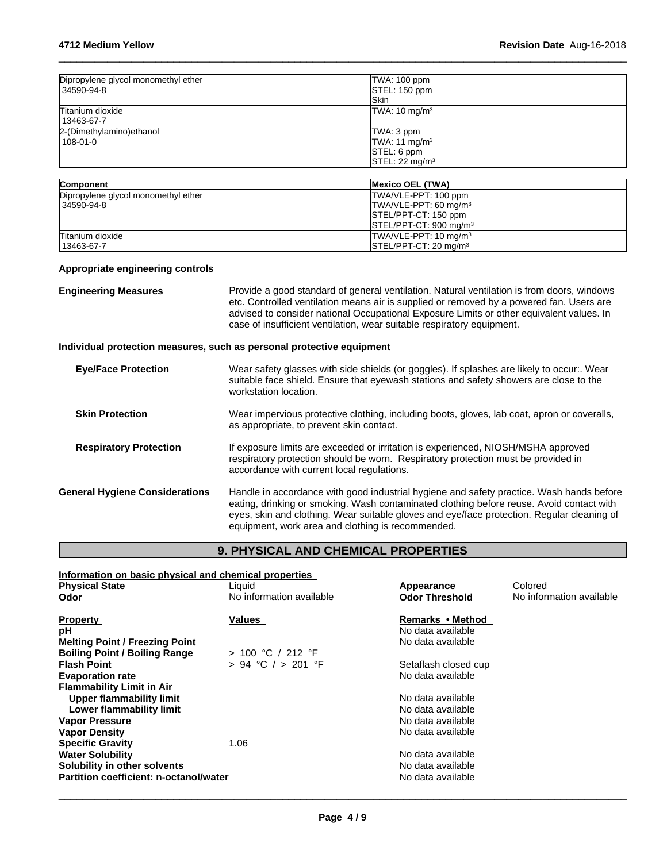| Dipropylene glycol monomethyl ether<br>34590-94-8 | TWA: 100 ppm<br>STEL: 150 ppm<br><b>ISkin</b>                                        |
|---------------------------------------------------|--------------------------------------------------------------------------------------|
| Titanium dioxide<br>13463-67-7                    | TWA: 10 mg/m <sup>3</sup>                                                            |
| 2-(Dimethylamino) ethanol<br>108-01-0             | TWA: 3 ppm<br>TWA: 11 mg/m <sup>3</sup><br>STEL: 6 ppm<br>STEL: 22 mg/m <sup>3</sup> |

| <b>Component</b>                    | <b>IMexico OEL (TWA)</b>           |
|-------------------------------------|------------------------------------|
| Dipropylene glycol monomethyl ether | TWA/VLE-PPT: 100 ppm               |
| 34590-94-8                          | TWA/VLE-PPT: 60 mg/m <sup>3</sup>  |
|                                     | <b>ISTEL/PPT-CT: 150 ppm</b>       |
|                                     | STEL/PPT-CT: 900 mg/m <sup>3</sup> |
| Titanium dioxide                    | TWA/VLE-PPT: 10 mg/m <sup>3</sup>  |
| 13463-67-7                          | $\textsf{ISTEL/PPT-CT: 20 mq/m}^3$ |

### **Appropriate engineering controls**

**Engineering Measures Provide a good standard of general ventilation. Natural ventilation is from doors, windows** etc. Controlled ventilation means air is supplied or removed by a powered fan. Users are advised to consider national Occupational Exposure Limits or other equivalent values. In case of insufficient ventilation, wear suitable respiratory equipment.

### **Individual protection measures, such as personal protective equipment**

| <b>Eve/Face Protection</b>            | Wear safety glasses with side shields (or goggles). If splashes are likely to occur:. Wear<br>suitable face shield. Ensure that eyewash stations and safety showers are close to the<br>workstation location.                                                                                                                           |
|---------------------------------------|-----------------------------------------------------------------------------------------------------------------------------------------------------------------------------------------------------------------------------------------------------------------------------------------------------------------------------------------|
| <b>Skin Protection</b>                | Wear impervious protective clothing, including boots, gloves, lab coat, apron or coveralls,<br>as appropriate, to prevent skin contact.                                                                                                                                                                                                 |
| <b>Respiratory Protection</b>         | If exposure limits are exceeded or irritation is experienced, NIOSH/MSHA approved<br>respiratory protection should be worn. Respiratory protection must be provided in<br>accordance with current local regulations.                                                                                                                    |
| <b>General Hygiene Considerations</b> | Handle in accordance with good industrial hygiene and safety practice. Wash hands before<br>eating, drinking or smoking. Wash contaminated clothing before reuse. Avoid contact with<br>eyes, skin and clothing. Wear suitable gloves and eye/face protection. Regular cleaning of<br>equipment, work area and clothing is recommended. |

### **9. PHYSICAL AND CHEMICAL PROPERTIES**

| Information on basic physical and chemical properties |                          |                       |                          |  |  |
|-------------------------------------------------------|--------------------------|-----------------------|--------------------------|--|--|
| <b>Physical State</b>                                 | Liquid                   | Appearance            | Colored                  |  |  |
| Odor                                                  | No information available | <b>Odor Threshold</b> | No information available |  |  |
| <b>Property</b>                                       | Values                   | Remarks • Method      |                          |  |  |
| рH                                                    |                          | No data available     |                          |  |  |
| <b>Melting Point / Freezing Point</b>                 |                          | No data available     |                          |  |  |
| <b>Boiling Point / Boiling Range</b>                  | > 100 °C / 212 °F        |                       |                          |  |  |
| <b>Flash Point</b>                                    | $> 94$ °C $/ > 201$ °F   | Setaflash closed cup  |                          |  |  |
| <b>Evaporation rate</b>                               |                          | No data available     |                          |  |  |
| <b>Flammability Limit in Air</b>                      |                          |                       |                          |  |  |
| Upper flammability limit                              |                          | No data available     |                          |  |  |
| Lower flammability limit                              |                          | No data available     |                          |  |  |
| <b>Vapor Pressure</b>                                 |                          | No data available     |                          |  |  |
| <b>Vapor Density</b>                                  |                          | No data available     |                          |  |  |
| <b>Specific Gravity</b>                               | 1.06                     |                       |                          |  |  |
| <b>Water Solubility</b>                               |                          | No data available     |                          |  |  |
| Solubility in other solvents                          |                          | No data available     |                          |  |  |
| Partition coefficient: n-octanol/water                |                          | No data available     |                          |  |  |
|                                                       |                          |                       |                          |  |  |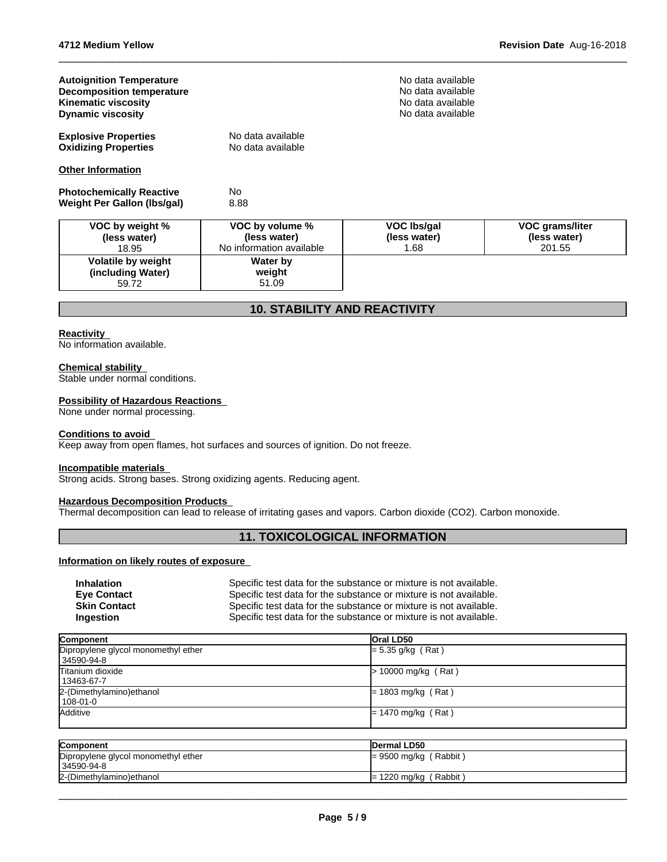| <b>Autoignition Temperature</b><br><b>Decomposition temperature</b><br><b>Kinematic viscosity</b><br><b>Dynamic viscosity</b> |                                                             | No data available<br>No data available<br>No data available<br>No data available |                                           |
|-------------------------------------------------------------------------------------------------------------------------------|-------------------------------------------------------------|----------------------------------------------------------------------------------|-------------------------------------------|
| <b>Explosive Properties</b><br><b>Oxidizing Properties</b>                                                                    | No data available<br>No data available                      |                                                                                  |                                           |
| <b>Other Information</b>                                                                                                      |                                                             |                                                                                  |                                           |
| <b>Photochemically Reactive</b><br>Weight Per Gallon (Ibs/gal)                                                                | <b>No</b><br>8.88                                           |                                                                                  |                                           |
| VOC by weight %<br>(less water)<br>18.95                                                                                      | VOC by volume %<br>(less water)<br>No information available | VOC Ibs/gal<br>(less water)<br>1.68                                              | VOC grams/liter<br>(less water)<br>201.55 |
| Volatile by weight<br>(including Water)<br>59.72                                                                              | Water by<br>weight<br>51.09                                 |                                                                                  |                                           |

### **10. STABILITY AND REACTIVITY**

#### **Reactivity**

No information available.

#### **Chemical stability**

Stable under normal conditions.

#### **Possibility of Hazardous Reactions**

None under normal processing.

#### **Conditions to avoid**

Keep away from open flames, hot surfaces and sources of ignition. Do not freeze.

#### **Incompatible materials**

Strong acids. Strong bases. Strong oxidizing agents. Reducing agent.

### **Hazardous Decomposition Products**

Thermal decomposition can lead to release of irritating gases and vapors. Carbon dioxide (CO2). Carbon monoxide.

### **11. TOXICOLOGICAL INFORMATION**

#### **Information on likely routes of exposure**

| <b>Inhalation</b>   | Specific test data for the substance or mixture is not available. |
|---------------------|-------------------------------------------------------------------|
| <b>Eve Contact</b>  | Specific test data for the substance or mixture is not available. |
| <b>Skin Contact</b> | Specific test data for the substance or mixture is not available. |
| Ingestion           | Specific test data for the substance or mixture is not available. |

| Component                                         | <b>Oral LD50</b>             |
|---------------------------------------------------|------------------------------|
| Dipropylene glycol monomethyl ether<br>34590-94-8 | $= 5.35$ g/kg (Rat)          |
| Titanium dioxide<br>l 13463-67-7                  | $> 10000$ mg/kg (Rat)        |
| 2-(Dimethylamino) ethanol<br>108-01-0             | $= 1803 \text{ mg/kg}$ (Rat) |
| <b>Additive</b>                                   | $= 1470$ mg/kg (Rat)         |

| <b>IDermal LD50</b>     |
|-------------------------|
| $= 9500$ mg/kg (Rabbit) |
| $= 1220$ mg/kg (Rabbit) |
|                         |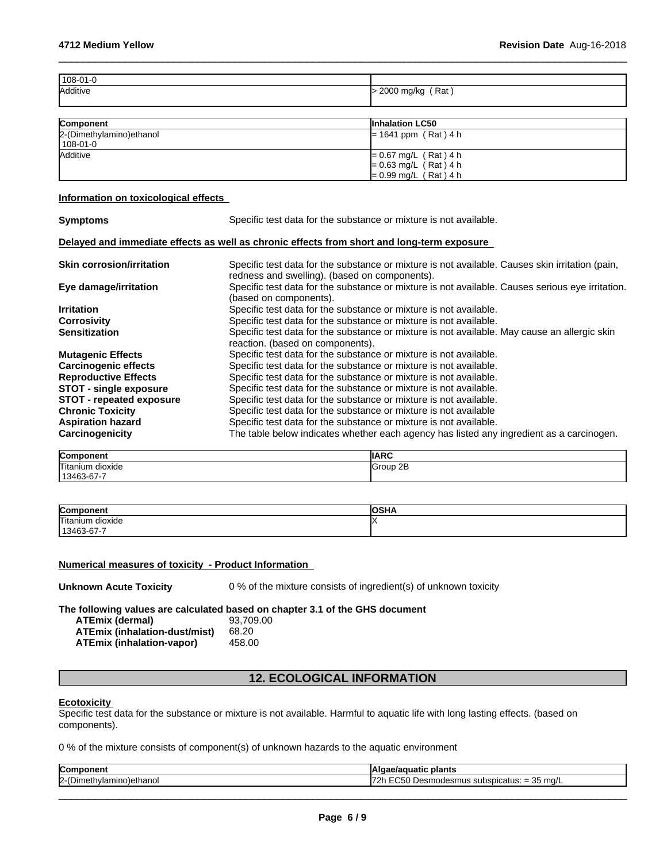| $R = 1$  | <b>Balcalation LOFO</b> |
|----------|-------------------------|
|          |                         |
|          |                         |
| Additive | $>$ 2000 mg/kg (Rat)    |
| 108-01-0 |                         |
|          |                         |

| <b>Component</b>          | <b>Inhalation LC50</b>  |
|---------------------------|-------------------------|
| 2-(Dimethylamino) ethanol | $= 1641$ ppm (Rat) 4 h  |
| 108-01-0                  |                         |
| <b>Additive</b>           | $= 0.67$ mg/L (Rat) 4 h |
|                           | $= 0.63$ mg/L (Rat) 4 h |
|                           | $= 0.99$ mg/L (Rat) 4 h |

#### **Information on toxicological effects**

| <b>Symptoms</b>                  | Specific test data for the substance or mixture is not available.                                                                                |
|----------------------------------|--------------------------------------------------------------------------------------------------------------------------------------------------|
|                                  | Delayed and immediate effects as well as chronic effects from short and long-term exposure                                                       |
| <b>Skin corrosion/irritation</b> | Specific test data for the substance or mixture is not available. Causes skin irritation (pain,<br>redness and swelling). (based on components). |
| Eye damage/irritation            | Specific test data for the substance or mixture is not available. Causes serious eye irritation.<br>(based on components).                       |
| <b>Irritation</b>                | Specific test data for the substance or mixture is not available.                                                                                |
| <b>Corrosivity</b>               | Specific test data for the substance or mixture is not available.                                                                                |
| <b>Sensitization</b>             | Specific test data for the substance or mixture is not available. May cause an allergic skin<br>reaction. (based on components).                 |
| <b>Mutagenic Effects</b>         | Specific test data for the substance or mixture is not available.                                                                                |
| <b>Carcinogenic effects</b>      | Specific test data for the substance or mixture is not available.                                                                                |
| <b>Reproductive Effects</b>      | Specific test data for the substance or mixture is not available.                                                                                |
| <b>STOT - single exposure</b>    | Specific test data for the substance or mixture is not available.                                                                                |
| <b>STOT - repeated exposure</b>  | Specific test data for the substance or mixture is not available.                                                                                |
| <b>Chronic Toxicity</b>          | Specific test data for the substance or mixture is not available                                                                                 |
| <b>Aspiration hazard</b>         | Specific test data for the substance or mixture is not available.                                                                                |
| Carcinogenicity                  | The table below indicates whether each agency has listed any ingredient as a carcinogen.                                                         |

| Component<br>""            | <b>IIARC</b> |
|----------------------------|--------------|
| <b>Titanium</b><br>dioxide | 2E<br>Group  |
| 13463-67-7                 |              |

| Componen<br>.             | 20118<br>אחכש |
|---------------------------|---------------|
| Titanium dioxide          |               |
| – 67-7ه کې<br>113463<br>՝ |               |

#### **Numerical measures of toxicity - Product Information**

| <b>Unknown Acute Toxicity</b> | 0 % of the mixture consists of ingredient(s) of unknown toxicity |  |
|-------------------------------|------------------------------------------------------------------|--|
|-------------------------------|------------------------------------------------------------------|--|

**The following values are calculated based on chapter 3.1 of the GHS document**

| <b>ATEmix (dermal)</b>               | 93.709.00 |
|--------------------------------------|-----------|
| <b>ATEmix (inhalation-dust/mist)</b> | 68.20     |
| ATEmix (inhalation-vapor)            | 458.00    |

## **12. ECOLOGICAL INFORMATION**

#### **Ecotoxicity**

Specific test data for the substance or mixture is not available. Harmful to aquatic life with long lasting effects. (based on components).

0 % of the mixture consists of component(s) of unknown hazards to the aquatic environment

| <b>Com</b><br>--<br>11 C I I L       | plants<br>                                                                                                  |
|--------------------------------------|-------------------------------------------------------------------------------------------------------------|
| $2-(D)$<br>---<br><b></b><br>ethano. | --<br>25<br>35 ma/L<br><b>.</b><br>™แร<br>⊃icatus: ·<br>_<br>эu<br>,,,,,, <del>,</del> ,,,<br>ີ<br>_<br>. . |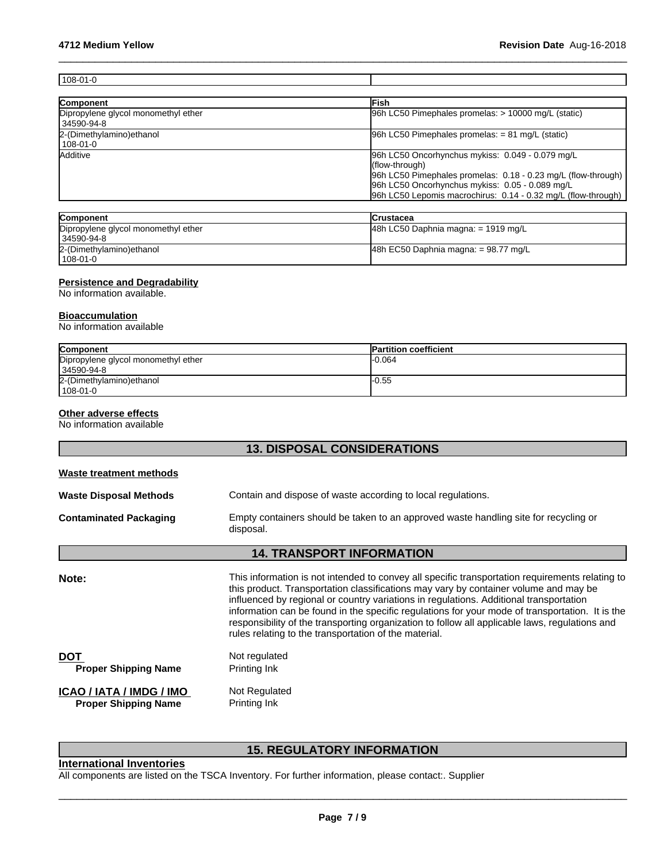| 108-01-0                                          |                                                                                                                                                                                                                                                         |
|---------------------------------------------------|---------------------------------------------------------------------------------------------------------------------------------------------------------------------------------------------------------------------------------------------------------|
|                                                   |                                                                                                                                                                                                                                                         |
| Component                                         | <b>IFish</b>                                                                                                                                                                                                                                            |
| Dipropylene glycol monomethyl ether<br>34590-94-8 | 96h LC50 Pimephales promelas: > 10000 mg/L (static)                                                                                                                                                                                                     |
| 2-(Dimethylamino) ethanol<br>108-01-0             | $96h$ LC50 Pimephales promelas: = 81 mg/L (static)                                                                                                                                                                                                      |
| Additive                                          | 96h LC50 Oncorhynchus mykiss: 0.049 - 0.079 mg/L<br>(flow-through)<br>96h LC50 Pimephales promelas: 0.18 - 0.23 mg/L (flow-through)<br>96h LC50 Oncorhynchus mykiss: 0.05 - 0.089 mg/L<br>96h LC50 Lepomis macrochirus: 0.14 - 0.32 mg/L (flow-through) |

| <b>Component</b>                    | <b>ICrustacea</b>                       |
|-------------------------------------|-----------------------------------------|
| Dipropylene glycol monomethyl ether | 48h LC50 Daphnia magna: $= 1919$ mg/L   |
| 34590-94-8                          |                                         |
| 2-(Dimethylamino)ethanol            | $ 48h$ EC50 Daphnia magna: = 98.77 mg/L |
| l 108-01-0                          |                                         |

#### **Persistence and Degradability**

No information available.

#### **Bioaccumulation**

No information available

| Component                           | <b>Partition coefficient</b> |
|-------------------------------------|------------------------------|
| Dipropylene glycol monomethyl ether | -0.064                       |
| 34590-94-8                          |                              |
| 2-(Dimethylamino) ethanol           | l-0.55                       |
| 108-01-0                            |                              |

#### **Other adverse effects**

No information available

### **13. DISPOSAL CONSIDERATIONS**

| Waste treatment methods                                 |                                                                                                                                                                                                                                                                                                                                                                                                                                                                                                                                                 |
|---------------------------------------------------------|-------------------------------------------------------------------------------------------------------------------------------------------------------------------------------------------------------------------------------------------------------------------------------------------------------------------------------------------------------------------------------------------------------------------------------------------------------------------------------------------------------------------------------------------------|
| Waste Disposal Methods                                  | Contain and dispose of waste according to local regulations.                                                                                                                                                                                                                                                                                                                                                                                                                                                                                    |
| Contaminated Packaging                                  | Empty containers should be taken to an approved waste handling site for recycling or<br>disposal.                                                                                                                                                                                                                                                                                                                                                                                                                                               |
|                                                         | <b>14. TRANSPORT INFORMATION</b>                                                                                                                                                                                                                                                                                                                                                                                                                                                                                                                |
| Note:                                                   | This information is not intended to convey all specific transportation requirements relating to<br>this product. Transportation classifications may vary by container volume and may be<br>influenced by regional or country variations in regulations. Additional transportation<br>information can be found in the specific regulations for your mode of transportation. It is the<br>responsibility of the transporting organization to follow all applicable laws, regulations and<br>rules relating to the transportation of the material. |
| DOT<br><b>Proper Shipping Name</b>                      | Not regulated<br>Printing Ink                                                                                                                                                                                                                                                                                                                                                                                                                                                                                                                   |
| ICAO / IATA / IMDG / IMO<br><b>Proper Shipping Name</b> | Not Regulated<br>Printing Ink                                                                                                                                                                                                                                                                                                                                                                                                                                                                                                                   |

## **15. REGULATORY INFORMATION**

### **International Inventories**

All components are listed on the TSCA Inventory. For further information, please contact:. Supplier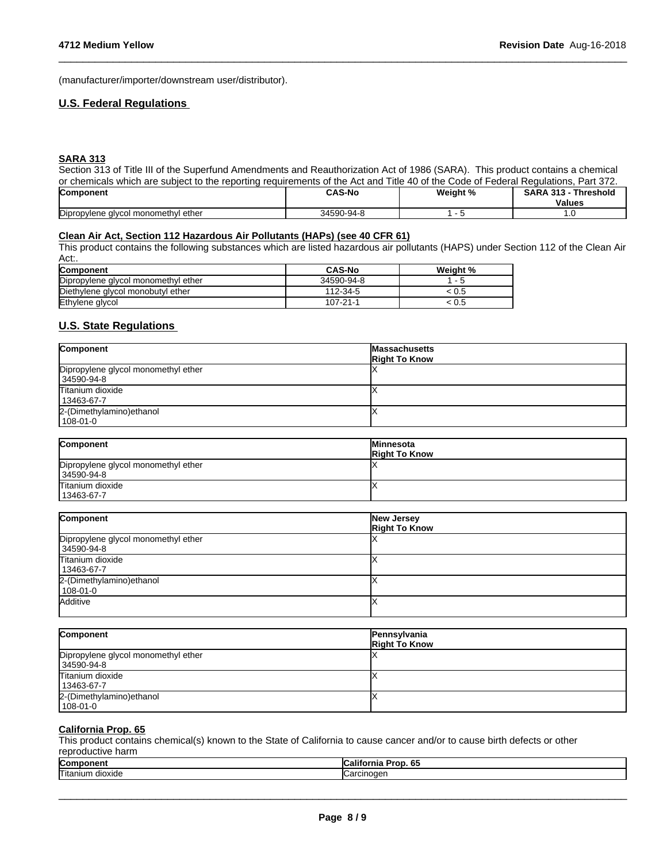(manufacturer/importer/downstream user/distributor).

#### **U.S. Federal Regulations**

#### **SARA 313**

Section 313 of Title III of the Superfund Amendments and Reauthorization Act of 1986 (SARA). This product contains a chemical or chemicals which are subject to the reporting requirements of the Act and Title 40 of the Code of Federal Regulations, Part 372.

 $\_$  ,  $\_$  ,  $\_$  ,  $\_$  ,  $\_$  ,  $\_$  ,  $\_$  ,  $\_$  ,  $\_$  ,  $\_$  ,  $\_$  ,  $\_$  ,  $\_$  ,  $\_$  ,  $\_$  ,  $\_$  ,  $\_$  ,  $\_$  ,  $\_$  ,  $\_$  ,  $\_$  ,  $\_$  ,  $\_$  ,  $\_$  ,  $\_$  ,  $\_$  ,  $\_$  ,  $\_$  ,  $\_$  ,  $\_$  ,  $\_$  ,  $\_$  ,  $\_$  ,  $\_$  ,  $\_$  ,  $\_$  ,  $\_$  ,

| <b>Component</b>                                      | <b>CAS-No</b>               | Weight % | <b>CAD</b><br>-949<br>Thresholo |
|-------------------------------------------------------|-----------------------------|----------|---------------------------------|
|                                                       |                             |          | <b>Values</b>                   |
| Dipropylene<br>l ether<br>l monomethvl<br>uvee.<br>v. | 3450 <sup>o</sup><br>)-Q4-S |          | .                               |

#### **Clean Air Act,Section 112 Hazardous Air Pollutants (HAPs) (see 40 CFR 61)**

This product contains the following substances which are listed hazardous air pollutants (HAPS) under Section 112 of the Clean Air Act:.

| Component                           | <b>CAS-No</b> | Weight %                 |
|-------------------------------------|---------------|--------------------------|
| Dipropylene glycol monomethyl ether | 34590-94-8    | $\overline{\phantom{0}}$ |
| Diethylene glycol monobutyl ether   | 112-34-5      | .U.S                     |
| Ethylene glycol                     | 107-21-1      | U.5                      |

### **U.S. State Regulations**

| Component                           | <b>Massachusetts</b><br><b>Right To Know</b> |
|-------------------------------------|----------------------------------------------|
| Dipropylene glycol monomethyl ether |                                              |
| 34590-94-8                          |                                              |
| Titanium dioxide                    |                                              |
| 13463-67-7                          |                                              |
| 2-(Dimethylamino) ethanol           |                                              |
| 108-01-0                            |                                              |

| Component                           | <b>IMinnesota</b><br><b>Right To Know</b> |
|-------------------------------------|-------------------------------------------|
| Dipropylene glycol monomethyl ether |                                           |
| 34590-94-8                          |                                           |
| Titanium dioxide                    |                                           |
| 13463-67-7                          |                                           |

| Component                           | New Jersey<br><b>Right To Know</b> |
|-------------------------------------|------------------------------------|
| Dipropylene glycol monomethyl ether |                                    |
| 34590-94-8                          |                                    |
| Titanium dioxide                    |                                    |
| 13463-67-7                          |                                    |
| 2-(Dimethylamino) ethanol           |                                    |
| $108 - 01 - 0$                      |                                    |
| Additive                            |                                    |
|                                     |                                    |

| Component                           | Pennsylvania<br><b>Right To Know</b> |
|-------------------------------------|--------------------------------------|
| Dipropylene glycol monomethyl ether |                                      |
| 34590-94-8                          |                                      |
| Titanium dioxide                    |                                      |
| 13463-67-7                          |                                      |
| 2-(Dimethylamino) ethanol           |                                      |
| 108-01-0                            |                                      |

#### **California Prop. 65**

This product contains chemical(s) known to the State of California to cause cancer and/or to cause birth defects or other reproductive harm

| .                             |                                   |
|-------------------------------|-----------------------------------|
| <b>Com</b><br>-               | .<br><b>AF</b><br>6.<br>40IO<br>н |
| −−<br>'l itani∖<br><br>iuxiue | .                                 |